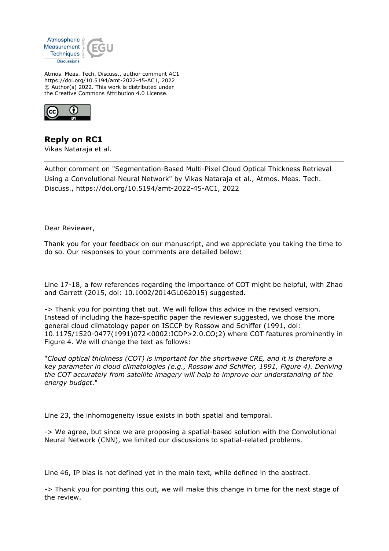

Atmos. Meas. Tech. Discuss., author comment AC1 https://doi.org/10.5194/amt-2022-45-AC1, 2022 © Author(s) 2022. This work is distributed under the Creative Commons Attribution 4.0 License.



**Reply on RC1** Vikas Nataraja et al.

Author comment on "Segmentation-Based Multi-Pixel Cloud Optical Thickness Retrieval Using a Convolutional Neural Network" by Vikas Nataraja et al., Atmos. Meas. Tech. Discuss., https://doi.org/10.5194/amt-2022-45-AC1, 2022

Dear Reviewer,

Thank you for your feedback on our manuscript, and we appreciate you taking the time to do so. Our responses to your comments are detailed below:

Line 17-18, a few references regarding the importance of COT might be helpful, with Zhao and Garrett (2015, doi: 10.1002/2014GL062015) suggested.

-> Thank you for pointing that out. We will follow this advice in the revised version. Instead of including the haze-specific paper the reviewer suggested, we chose the more general cloud climatology paper on ISCCP by Rossow and Schiffer (1991, doi: 10.1175/1520-0477(1991)072<0002:ICDP>2.0.CO;2) where COT features prominently in Figure 4. We will change the text as follows:

"*Cloud optical thickness (COT) is important for the shortwave CRE, and it is therefore a key parameter in cloud climatologies (e.g., Rossow and Schiffer, 1991, Figure 4). Deriving the COT accurately from satellite imagery will help to improve our understanding of the energy budget*."

Line 23, the inhomogeneity issue exists in both spatial and temporal.

-> We agree, but since we are proposing a spatial-based solution with the Convolutional Neural Network (CNN), we limited our discussions to spatial-related problems.

Line 46, IP bias is not defined yet in the main text, while defined in the abstract.

-> Thank you for pointing this out, we will make this change in time for the next stage of the review.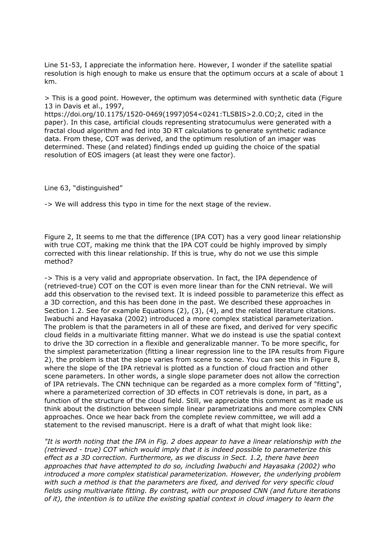Line 51-53, I appreciate the information here. However, I wonder if the satellite spatial resolution is high enough to make us ensure that the optimum occurs at a scale of about 1 km.

> This is a good point. However, the optimum was determined with synthetic data (Figure 13 in Davis et al., 1997,

https://doi.org/10.1175/1520-0469(1997)054<0241:TLSBIS>2.0.CO;2, cited in the paper). In this case, artificial clouds representing stratocumulus were generated with a fractal cloud algorithm and fed into 3D RT calculations to generate synthetic radiance data. From these, COT was derived, and the optimum resolution of an imager was determined. These (and related) findings ended up guiding the choice of the spatial resolution of EOS imagers (at least they were one factor).

Line 63, "distinguished"

-> We will address this typo in time for the next stage of the review.

Figure 2, It seems to me that the difference (IPA COT) has a very good linear relationship with true COT, making me think that the IPA COT could be highly improved by simply corrected with this linear relationship. If this is true, why do not we use this simple method?

-> This is a very valid and appropriate observation. In fact, the IPA dependence of (retrieved-true) COT on the COT is even more linear than for the CNN retrieval. We will add this observation to the revised text. It is indeed possible to parameterize this effect as a 3D correction, and this has been done in the past. We described these approaches in Section 1.2. See for example Equations (2), (3), (4), and the related literature citations. Iwabuchi and Hayasaka (2002) introduced a more complex statistical parameterization. The problem is that the parameters in all of these are fixed, and derived for very specific cloud fields in a multivariate fitting manner. What we do instead is use the spatial context to drive the 3D correction in a flexible and generalizable manner. To be more specific, for the simplest parameterization (fitting a linear regression line to the IPA results from Figure 2), the problem is that the slope varies from scene to scene. You can see this in Figure 8, where the slope of the IPA retrieval is plotted as a function of cloud fraction and other scene parameters. In other words, a single slope parameter does not allow the correction of IPA retrievals. The CNN technique can be regarded as a more complex form of "fitting", where a parameterized correction of 3D effects in COT retrievals is done, in part, as a function of the structure of the cloud field. Still, we appreciate this comment as it made us think about the distinction between simple linear parametrizations and more complex CNN approaches. Once we hear back from the complete review committee, we will add a statement to the revised manuscript. Here is a draft of what that might look like:

*"It is worth noting that the IPA in Fig. 2 does appear to have a linear relationship with the (retrieved - true) COT which would imply that it is indeed possible to parameterize this effect as a 3D correction. Furthermore, as we discuss in Sect. 1.2, there have been approaches that have attempted to do so, including Iwabuchi and Hayasaka (2002) who introduced a more complex statistical parameterization. However, the underlying problem with such a method is that the parameters are fixed, and derived for very specific cloud fields using multivariate fitting. By contrast, with our proposed CNN (and future iterations of it), the intention is to utilize the existing spatial context in cloud imagery to learn the*